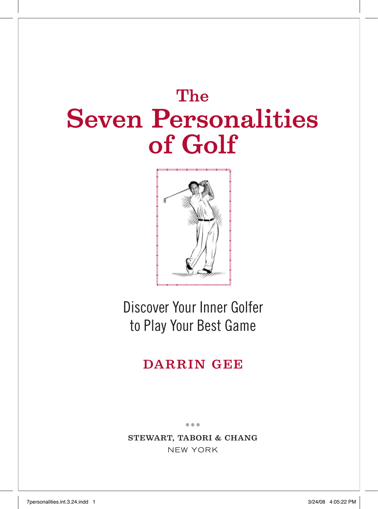# The Seven Personalities of Golf



## Discover Your Inner Golfer to Play Your Best Game

### DARRIN GEE

Stewart, Tabori & Chang New York

• • •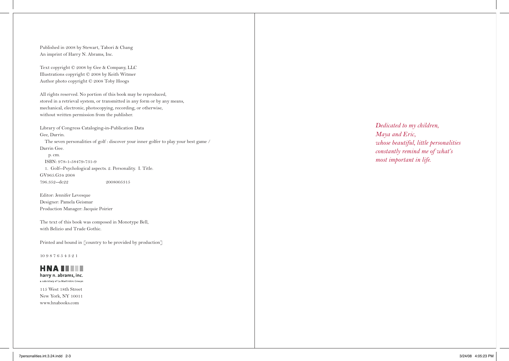Published in 2008 by Stewart, Tabori & Chang An imprint of Harry N. Abrams, Inc.

Text copyright © 2008 by Gee & Company, LLC Illustrations copyright © 2008 by Keith Witmer Author photo copyright © 2008 Toby Hoogs

All rights reserved. No portion of this book may be reproduced, stored in a retrieval system, or transmitted in any form or by any means, mechanical, electronic, photocopying, recording, or otherwise, without written permission from the publisher.

Library of Congress Cataloging-in-Publication Data Gee, Darrin. The seven personalities of golf : discover your inner golfer to play your best game / Darrin Gee. p. cm. ISBN: 978-1-58479-731-9 1. Golf--Psychological aspects. 2. Personality. I. Title. GV965.G34 2008 796.352-dc22 2008005315

Editor: Jennifer Levesque Designer: Pamela Geismar Production Manager: Jacquie Poirier

The text of this book was composed in Monotype Bell, with Belizio and Trade Gothic.

Printed and bound in [country to be provided by production]

10 9 8 7 6 5 4 3 2 1

#### HNA II harry n. abrams, inc. a subsidiary of La Martinière Groupe

115 West 18th Street New York, NY 10011 www.hnabooks.com

 *Dedicated to my children, Maya and Eric, whose beautiful, little personalities constantly remind me of what's most important in life.*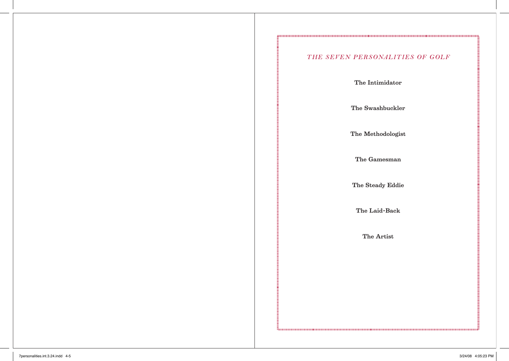### *the seven personalities of golf*

The Intimidator

The Swashbuckler

The Methodologist

The Gamesman

The Steady Eddie

The Laid-Back

The Artist

,我们的时候,我们的时候,我们的时候,我们的时候,我们的时候,我们的时候,我们的时候,我们的时候,我们的时候,我们的时候,我们的时候,我们的时候,我们也不能在我们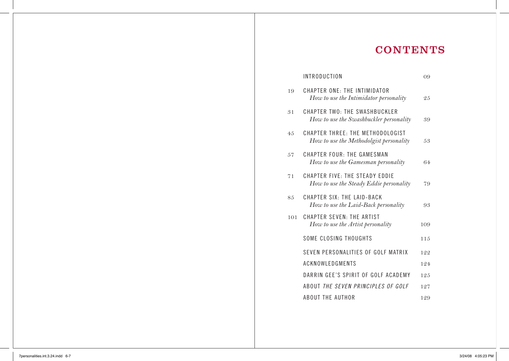### **CONTENTS**

|     | <b>INTRODUCTION</b>                                                           | 09  |
|-----|-------------------------------------------------------------------------------|-----|
| 1.9 | <b>CHAPTER ONE: THE INTIMIDATOR</b><br>How to use the Intimidator personality | 25  |
| 31  | CHAPTER TWO: THE SWASHBUCKLER<br>How to use the Swashbuckler personality      | 39  |
| 45  | CHAPTER THRFF: THE METHODOLOGIST<br>How to use the Methodolgist personality   | 53  |
| 57  | CHAPTER FOUR: THE GAMESMAN<br>How to use the Gamesman personality             | 64  |
| 71  | CHAPTER FIVE: THE STEADY FDDIF<br>How to use the Steady Eddie personality     | 79  |
| 85  | CHAPTER SIX: THE LAID-BACK<br>How to use the Laid-Back personality            | 93  |
| 101 | <b>CHAPTER SEVEN: THE ARTIST</b><br>How to use the Artist personality         | 109 |
|     | SOME CLOSING THOUGHTS                                                         | 115 |
|     | SEVEN PERSONALITIES OF GOLF MATRIX                                            | 122 |
|     | ACKNOWLEDGMENTS                                                               | 124 |
|     | DARRIN GEE'S SPIRIT OF GOLF ACADEMY                                           | 125 |
|     | ABOUT THE SEVEN PRINCIPLES OF GOLF                                            | 127 |
|     | ABOUT THE AUTHOR                                                              | 129 |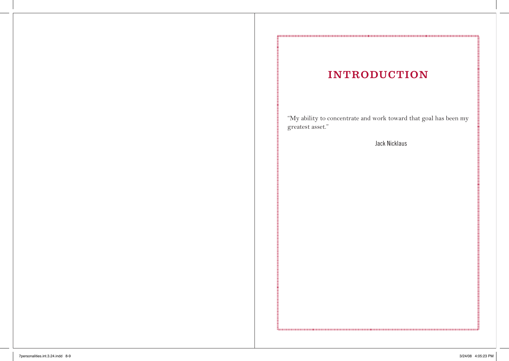## INTRODUCTION

"My ability to concentrate and work toward that goal has been my greatest asset."

Jack Nicklaus

поновности полно поставления полно постоянно полно полно полно полно полно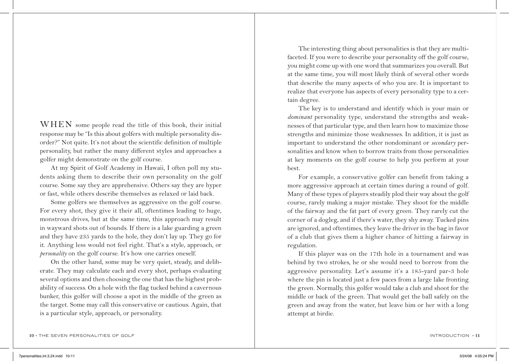$WHEN$  some people read the title of this book, their initial response may be "Is this about golfers with multiple personality disorder?" Not quite. It's not about the scientific definition of multiple personality, but rather the many different styles and approaches a golfer might demonstrate on the golf course.

At my Spirit of Golf Academy in Hawaii, I often poll my students asking them to describe their own personality on the golf course. Some say they are apprehensive. Others say they are hyper or fast, while others describe themselves as relaxed or laid back.

Some golfers see themselves as aggressive on the golf course. For every shot, they give it their all, oftentimes leading to huge, monstrous drives, but at the same time, this approach may result in wayward shots out of bounds. If there is a lake guarding a green and they have 235 yards to the hole, they don't lay up. They go for it. Anything less would not feel right. That's a style, approach, or *personality* on the golf course. It's how one carries oneself.

On the other hand, some may be very quiet, steady, and deliberate. They may calculate each and every shot, perhaps evaluating several options and then choosing the one that has the highest probability of success. On a hole with the flag tucked behind a cavernous bunker, this golfer will choose a spot in the middle of the green as the target. Some may call this conservative or cautious. Again, that is a particular style, approach, or personality.

The interesting thing about personalities is that they are multifaceted. If you were to describe your personality off the golf course, you might come up with one word that summarizes you overall. But at the same time, you will most likely think of several other words that describe the many aspects of who you are. It is important to realize that everyone has aspects of every personality type to a certain degree.

The key is to understand and identify which is your main or *dominant* personality type, understand the strengths and weaknesses of that particular type, and then learn how to maximize those strengths and minimize those weaknesses. In addition, it is just as important to understand the other nondominant or *secondary* personalities and know when to borrow traits from those personalities at key moments on the golf course to help you perform at your best.

For example, a conservative golfer can benefit from taking a more aggressive approach at certain times during a round of golf. Many of these types of players steadily plod their way about the golf course, rarely making a major mistake. They shoot for the middle of the fairway and the fat part of every green. They rarely cut the corner of a dogleg, and if there's water, they shy away. Tucked pins are ignored, and oftentimes, they leave the driver in the bag in favor of a club that gives them a higher chance of hitting a fairway in regulation.

If this player was on the 17th hole in a tournament and was behind by two strokes, he or she would need to borrow from the aggressive personality. Let's assume it's a 185-yard par-3 hole where the pin is located just a few paces from a large lake fronting the green. Normally, this golfer would take a club and shoot for the middle or back of the green. That would get the ball safely on the green and away from the water, but leave him or her with a long attempt at birdie.

10 • The Seven Personalities of Golf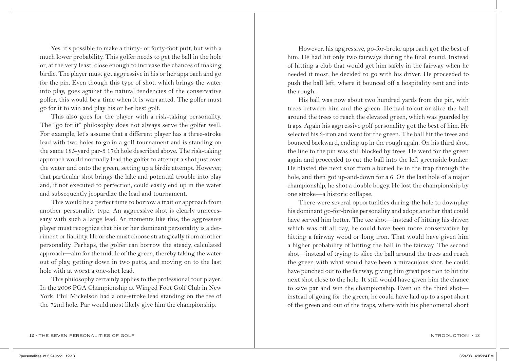Yes, it's possible to make a thirty- or forty-foot putt, but with a much lower probability. This golfer needs to get the ball in the hole or, at the very least, close enough to increase the chances of making birdie. The player must get aggressive in his or her approach and go for the pin. Even though this type of shot, which brings the water into play, goes against the natural tendencies of the conservative golfer, this would be a time when it is warranted. The golfer must go for it to win and play his or her best golf.

This also goes for the player with a risk-taking personality. The "go for it" philosophy does not always serve the golfer well. For example, let's assume that a different player has a three-stroke lead with two holes to go in a golf tournament and is standing on the same 185-yard par-3 17thhole described above. The risk-taking approach would normally lead the golfer to attempt a shot just over the water and onto the green, setting up a birdie attempt. However, that particular shot brings the lake and potential trouble into play and, if not executed to perfection, could easily end up in the water and subsequently jeopardize the lead and tournament.

This would be a perfect time to borrow a trait or approach from another personality type. An aggressive shot is clearly unnecessary with such a large lead. At moments like this, the aggressive player must recognize that his or her dominant personality is a detriment or liability. He or she must choose strategically from another personality. Perhaps, the golfer can borrow the steady, calculated approach—aim for the middle of the green, thereby taking the water out of play, getting down in two putts, and moving on to the last hole with at worst a one-shot lead.

This philosophy certainly applies to the professional tour player. In the 2006 PGA Championship at Winged Foot Golf Club in New York, Phil Mickelson had a one-stroke lead standing on the tee of the 72nd hole. Par would most likely give him the championship.

However, his aggressive, go-for-broke approach got the best of him. He had hit only two fairways during the final round. Instead of hitting a club that would get him safely in the fairway when he needed it most, he decided to go with his driver. He proceeded to push the ball left, where it bounced off a hospitality tent and into the rough.

His ball was now about two hundred yards from the pin, with trees between him and the green. He had to cut or slice the ball around the trees to reach the elevated green, which was guarded by traps. Again his aggressive golf personality got the best of him. He selected his 3-iron and went for the green. The ball hit the trees and bounced backward, ending up in the rough again. On his third shot, the line to the pin was still blocked by trees. He went for the green again and proceeded to cut the ball into the left greenside bunker. He blasted the next shot from a buried lie in the trap through the hole, and then got up-and-down for a 6. On the last hole of a major championship, he shot a double bogey. He lost the championship by one stroke—a historic collapse.

There were several opportunities during the hole to downplay his dominant go-for-broke personality and adopt another that could have served him better. The tee shot—instead of hitting his driver, which was off all day, he could have been more conservative by hitting a fairway wood or long iron. That would have given him a higher probability of hitting the ball in the fairway. The second shot—instead of trying to slice the ball around the trees and reach the green with what would have been a miraculous shot, he could have punched out to the fairway, giving him great position to hit the next shot close to the hole. It still would have given him the chance to save par and win the championship. Even on the third shot instead of going for the green, he could have laid up to a spot short of the green and out of the traps, where with his phenomenal short

12 • The Seven Personalities of Golf

introduction • 13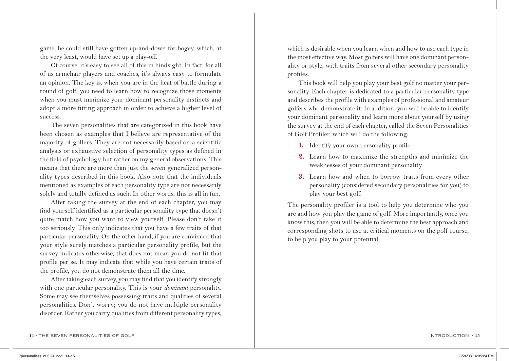game, he could still have gotten up-and-down for bogey, which, at the very least, would have set up a play-off.

Of course, it's easy to see all of this in hindsight. In fact, for all of us armchair players and coaches, it's always easy to formulate an opinion. The key is, when you are in the heat of battle during a round of golf, you need to learn how to recognize those moments when you must minimize your dominant personality instincts and adopt a more fitting approach in order to achieve a higher level of success.

The seven personalities that are categorized in this book have been chosen as examples that I believe are representative of the majority of golfers. They are not necessarily based on a scientific analysis or exhaustive selection of personality types as defined in the field of psychology, but rather on my general observations. This means that there are more than just the seven generalized personality types described in this book. Also note that the individuals mentioned as examples of each personality type are not necessarily solely and totally defined as such. In other words, this is all in fun.

After taking the survey at the end of each chapter, you may find yourself identified as a particular personality type that doesn't quite match how you want to view yourself. Please don't take it too seriously. This only indicates that you have a few traits of that particular personality. On the other hand, if you are convinced that your style surely matches a particular personality profile, but the survey indicates otherwise, that does not mean you do not fit that profile per se. It may indicate that while you have certain traits of the profile, you do not demonstrate them all the time.

After taking each survey, you may find that you identify strongly with one particular personality. This is your *dominant* personality. Some may see themselves possessing traits and qualities of several personalities. Don't worry; you do not have multiple personality disorder. Rather you carry qualities from different personality types,

which is desirable when you learn when and how to use each type in the most effective way. Most golfers will have one dominant personality or style, with traits from several other secondary personality profiles.

This book will help you play your best golf no matter your personality. Each chapter is dedicated to a particular personality type and describes the profile with examples of professional and amateur golfers who demonstrate it. In addition, you will be able to identify your dominant personality and learn more about yourself by using the survey at the end of each chapter, called the Seven Personalities of Golf Profiler, which will do the following:

- 1. Identify your own personality profile
- 2. Learn how to maximize the strengths and minimize the weaknesses of your dominant personality
- 3. Learn how and when to borrow traits from every other personality (considered secondary personalities for you) to play your best golf.

The personality profiler is a tool to help you determine who you are and how you play the game of golf. More importantly, once you know this, then you will be able to determine the best approach and corresponding shots to use at critical moments on the golf course, to help you play to your potential.

introduction • 15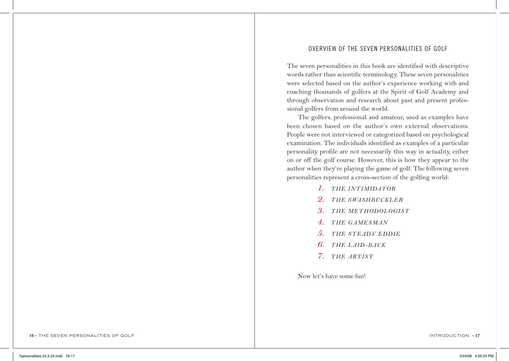#### Overview of the Seven Personalities of Golf

The seven personalities in this book are identified with descriptive words rather than scientific terminology. These seven personalities were selected based on the author's experience working with and coaching thousands of golfers at the Spirit of Golf Academy and through observation and research about past and present professional golfers from around the world.

The golfers, professional and amateur, used as examples have been chosen based on the author's own external observations. People were not interviewed or categorized based on psychological examination. The individuals identified as examples of a particular personality profile are not necessarily this way in actuality, either on or off the golf course. However, this is how they appear to the author when they're playing the game of golf. The following seven personalities represent a cross-section of the golfing world:

- *1. The Intimidator*
- *2. The Swashbuckler*
- *3. The Methodologist*
- *4. The Gamesman*
- *5. The Steady Eddie*
- *6. The Laid-Back*
- *7. The Artist*

Now let's have some fun!

16 • The Seven Personalities of Golf

introduction • 17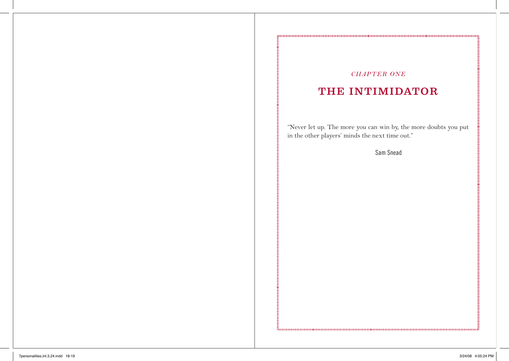### *chapter one*

## THE INTIMIDATOR

"Never let up. The more you can win by, the more doubts you put in the other players' minds the next time out."

Sam Snead

поновно полно полно полно полно полно полно по

**THE REAL PROPERTY OF A** 

понимание полно на полно на полно на полно на полно на полно на полно на полно на полно на полно на полно на п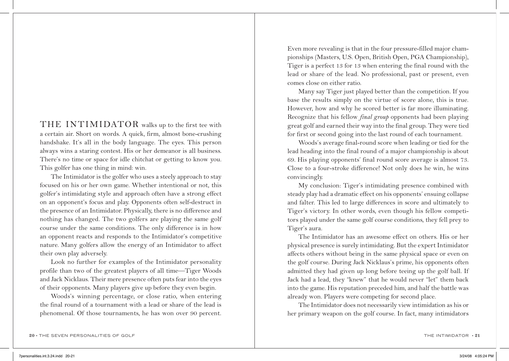THE INTIMIDATOR walks up to the first tee with a certain air. Short on words. A quick, firm, almost bone-crushing handshake. It's all in the body language. The eyes. This person always wins a staring contest. His or her demeanor is all business. There's no time or space for idle chitchat or getting to know you. This golfer has one thing in mind: win.

The Intimidator is the golfer who uses a steely approach to stay focused on his or her own game. Whether intentional or not, this golfer's intimidating style and approach often have a strong effect on an opponent's focus and play. Opponents often self-destruct in the presence of an Intimidator. Physically, there is no difference and nothing has changed. The two golfers are playing the same golf course under the same conditions. The only difference is in how an opponent reacts and responds to the Intimidator's competitive nature. Many golfers allow the energy of an Intimidator to affect their own play adversely.

Look no further for examples of the Intimidator personality profile than two of the greatest players of all time—Tiger Woods and Jack Nicklaus. Their mere presence often puts fear into the eyes of their opponents. Many players give up before they even begin.

Woods's winning percentage, or close ratio, when entering the final round of a tournament with a lead or share of the lead is phenomenal. Of those tournaments, he has won over 90 percent.

Even more revealing is that in the four pressure-filled major championships (Masters, U.S. Open, British Open, PGA Championship), Tiger is a perfect 13 for 13 when entering the final round with the lead or share of the lead. No professional, past or present, even comes close on either ratio.

Many say Tiger just played better than the competition. If you base the results simply on the virtue of score alone, this is true. However, how and why he scored better is far more illuminating. Recognize that his fellow *final group* opponents had been playing great golf and earned their way into the final group. They were tied for first or second going into the last round of each tournament.

Woods's average final-round score when leading or tied for the lead heading into the final round of a major championship is about 69. His playing opponents' final round score average is almost 73. Close to a four-stroke difference! Not only does he win, he wins convincingly.

My conclusion: Tiger's intimidating presence combined with steady play had a dramatic effect on his opponents' ensuing collapse and falter. This led to large differences in score and ultimately to Tiger's victory. In other words, even though his fellow competitors played under the same golf course conditions, they fell prey to Tiger's aura.

The Intimidator has an awesome effect on others. His or her physical presence is surely intimidating. But the expert Intimidator affects others without being in the same physical space or even on the golf course. During Jack Nicklaus's prime, his opponents often admitted they had given up long before teeing up the golf ball. If Jack had a lead, they "knew" that he would never "let" them back into the game. His reputation preceded him, and half the battle was already won. Players were competing for second place.

The Intimidator does not necessarily view intimidation as his or her primary weapon on the golf course. In fact, many intimidators

 $20 \cdot$  The Seven Personalities of Golf the intervals of the intervals of  $21$  and intimidator  $21$  and  $21$  and  $21$  and  $21$  and  $21$  and  $21$  and  $21$  and  $21$  and  $21$  and  $21$  and  $21$  and  $21$  and  $21$  and  $21$  and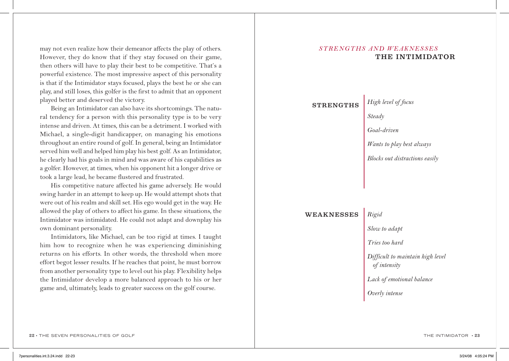may not even realize how their demeanor affects the play of others. However, they do know that if they stay focused on their game, then others will have to play their best to be competitive. That's a powerful existence. The most impressive aspect of this personality is that if the Intimidator stays focused, plays the best he or she can play, and still loses, this golfer is the first to admit that an opponent played better and deserved the victory.

Being an Intimidator can also have its shortcomings. The natural tendency for a person with this personality type is to be very intense and driven. At times, this can be a detriment. I worked with Michael, a single-digit handicapper, on managing his emotions throughout an entire round of golf. In general, being an Intimidator served him well and helped him play his best golf. As an Intimidator, he clearly had his goals in mind and was aware of his capabilities as a golfer. However, at times, when his opponent hit a longer drive or took a large lead, he became flustered and frustrated.

His competitive nature affected his game adversely. He would swing harder in an attempt to keep up. He would attempt shots that were out of his realm and skill set. His ego would get in the way. He allowed the play of others to affect his game. In these situations, the Intimidator was intimidated. He could not adapt and downplay his own dominant personality.

Intimidators, like Michael, can be too rigid at times. I taught him how to recognize when he was experiencing diminishing returns on his efforts. In other words, the threshold when more effort begot lesser results. If he reaches that point, he must borrow from another personality type to level out his play. Flexibility helps the Intimidator develop a more balanced approach to his or her game and, ultimately, leads to greater success on the golf course.

#### *strengths and weaknesses* THE INTIMIDATOR



 $22 \cdot$  The Seven Personalities of Golf the interval the intimidator  $\cdot$  23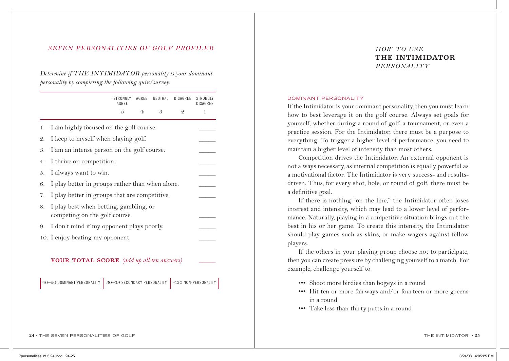#### *seven personalities of golf profiler*

*Determine if the Intimidator personality is your dominant personality by completing the following quiz/survey:*

|    |                                                                            | STRONGLY<br>AGREE | AGREE          |   | NEUTRAL DISAGREE | STRONGLY<br>DISAGREE |  |  |  |
|----|----------------------------------------------------------------------------|-------------------|----------------|---|------------------|----------------------|--|--|--|
|    |                                                                            | 5                 | $\overline{4}$ | 3 | $\mathcal{Q}$    | 1                    |  |  |  |
|    | 1. I am highly focused on the golf course.                                 |                   |                |   |                  |                      |  |  |  |
| 2. | I keep to myself when playing golf.                                        |                   |                |   |                  |                      |  |  |  |
|    | 3. I am an intense person on the golf course.                              |                   |                |   |                  |                      |  |  |  |
|    | 4. I thrive on competition.                                                |                   |                |   |                  |                      |  |  |  |
|    | 5. I always want to win.                                                   |                   |                |   |                  |                      |  |  |  |
| 6. | I play better in groups rather than when alone.                            |                   |                |   |                  |                      |  |  |  |
|    | 7. I play better in groups that are competitive.                           |                   |                |   |                  |                      |  |  |  |
|    | 8. I play best when betting, gambling, or<br>competing on the golf course. |                   |                |   |                  |                      |  |  |  |
|    | 9. I don't mind if my opponent plays poorly.                               |                   |                |   |                  |                      |  |  |  |
|    | 10. I enjoy beating my opponent.                                           |                   |                |   |                  |                      |  |  |  |

#### YOUR TOTAL SCORE (add up all ten answers)

40–50 Dominant personality 30–39 Secondary personality <30 Non-personality

### *how to use*  THE INTIMIDATOR *personality*

#### Dominant Personality

If the Intimidator is your dominant personality, then you must learn how to best leverage it on the golf course. Always set goals for yourself, whether during a round of golf, a tournament, or even a practice session. For the Intimidator, there must be a purpose to everything. To trigger a higher level of performance, you need to maintain a higher level of intensity than most others.

Competition drives the Intimidator. An external opponent is not always necessary, as internal competition is equally powerful as a motivational factor. The Intimidator is very success- and resultsdriven. Thus, for every shot, hole, or round of golf, there must be a definitive goal.

If there is nothing "on the line," the Intimidator often loses interest and intensity, which may lead to a lower level of performance. Naturally, playing in a competitive situation brings out the best in his or her game. To create this intensity, the Intimidator should play games such as skins, or make wagers against fellow players.

If the others in your playing group choose not to participate, then you can create pressure by challenging yourself to a match. For example, challenge yourself to

- ••• Shoot more birdies than bogeys in a round
- ••• Hit ten or more fairways and/or fourteen or more greens in a round
- ••• Take less than thirty putts in a round

 $24 \cdot$  The Seven Personalities of Golf the interval the intimidator  $\cdot$  25 and intervals the intimidator  $\cdot$  25 and intimidator  $\cdot$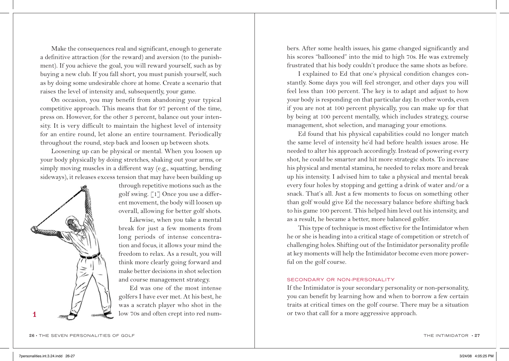Make the consequences real and significant, enough to generate a definitive attraction (for the reward) and aversion (to the punishment). If you achieve the goal, you will reward yourself, such as by buying a new club. If you fall short, you must punish yourself, such as by doing some undesirable chore at home. Create a scenario that raises the level of intensity and, subsequently, your game.

On occasion, you may benefit from abandoning your typical competitive approach. This means that for 97 percent of the time, press on. However, for the other 3 percent, balance out your intensity. It is very difficult to maintain the highest level of intensity for an entire round, let alone an entire tournament. Periodically throughout the round, step back and loosen up between shots.

Loosening up can be physical or mental. When you loosen up your body physically by doing stretches, shaking out your arms, or simply moving muscles in a different way (e.g., squatting, bending sideways), it releases excess tension that may have been building up



through repetitive motions such as the golf swing. [1] Once you use a different movement, the body will loosen up overall, allowing for better golf shots.

Likewise, when you take a mental break for just a few moments from long periods of intense concentration and focus, it allows your mind the freedom to relax. As a result, you will think more clearly going forward and make better decisions in shot selection and course management strategy.

Ed was one of the most intense golfers I have ever met. At his best, he was a scratch player who shot in the low 70s and often crept into red numbers. After some health issues, his game changed significantly and his scores "ballooned" into the mid to high 70s. He was extremely frustrated that his body couldn't produce the same shots as before.

I explained to Ed that one's physical condition changes constantly. Some days you will feel stronger, and other days you will feel less than 100 percent. The key is to adapt and adjust to how your body is responding on that particular day. In other words, even if you are not at 100 percent physically, you can make up for that by being at 100 percent mentally, which includes strategy, course management, shot selection, and managing your emotions.

Ed found that his physical capabilities could no longer match the same level of intensity he'd had before health issues arose. He needed to alter his approach accordingly. Instead of powering every shot, he could be smarter and hit more strategic shots. To increase his physical and mental stamina, he needed to relax more and break up his intensity. I advised him to take a physical and mental break every four holes by stopping and getting a drink of water and/or a snack. That's all. Just a few moments to focus on something other than golf would give Ed the necessary balance before shifting back to his game 100 percent. This helped him level out his intensity, and as a result, he became a better, more balanced golfer.

This type of technique is most effective for the Intimidator when he or she is heading into a critical stage of competition or stretch of challenging holes. Shifting out of the Intimidator personality profile at key moments will help the Intimidator become even more powerful on the golf course.

#### SECONDARY OR NON-PERSONALITY

If the Intimidator is your secondary personality or non-personality, you can benefit by learning how and when to borrow a few certain traits at critical times on the golf course. There may be a situation or two that call for a more aggressive approach.

 $26 \cdot$  The Seven Personalities of Golf the intervals of the intimidator  $\cdot$  27 and intervals of Golf the intimidator  $\cdot$  27 and intervals of Golf the intervals of Golf the intervals of  $\cdot$  27 and intervals of Golf the